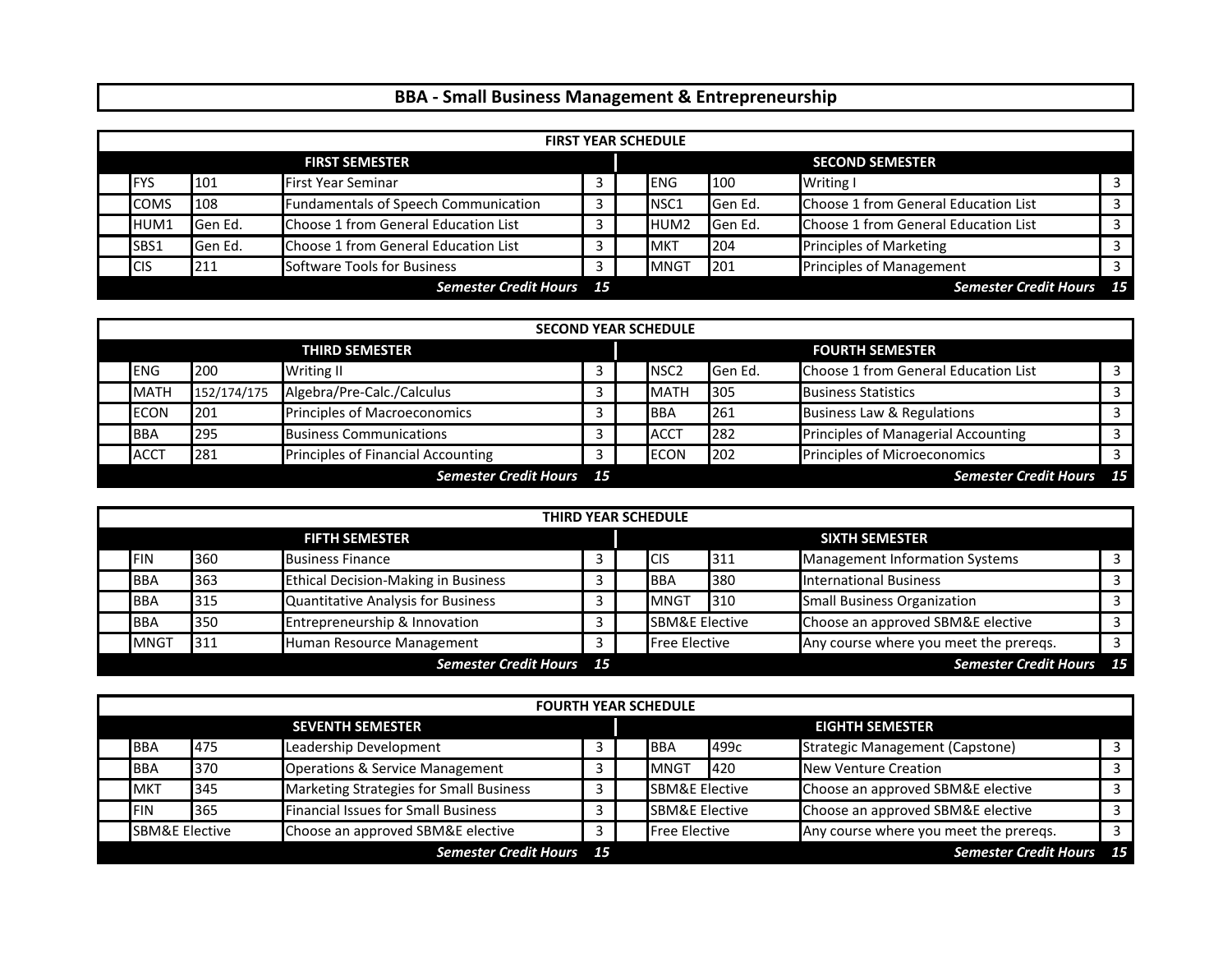## **BBA ‐ Small Business Management & Entrepreneurship**

|                                 | <b>FIRST YEAR SCHEDULE</b> |                 |                                      |                                |                        |                  |         |                                      |  |  |
|---------------------------------|----------------------------|-----------------|--------------------------------------|--------------------------------|------------------------|------------------|---------|--------------------------------------|--|--|
| <b>FIRST SEMESTER</b>           |                            |                 |                                      |                                | <b>SECOND SEMESTER</b> |                  |         |                                      |  |  |
|                                 | <b>IFYS</b>                | 101             | <b>First Year Seminar</b>            | Writing I<br>100<br><b>ENG</b> |                        |                  |         |                                      |  |  |
|                                 | <b>COMS</b>                | 108             | Fundamentals of Speech Communication |                                |                        | <b>NSC1</b>      | Gen Ed. | Choose 1 from General Education List |  |  |
|                                 | HUM1                       | Gen Ed.         | Choose 1 from General Education List |                                |                        | HUM <sub>2</sub> | Gen Ed. | Choose 1 from General Education List |  |  |
|                                 | SBS1                       | <b>IGen Ed.</b> | Choose 1 from General Education List |                                |                        | <b>MKT</b>       | 204     | <b>Principles of Marketing</b>       |  |  |
|                                 | <b>CIS</b>                 | 211             | Software Tools for Business          | 3                              |                        | <b>MNGT</b>      | 201     | <b>Principles of Management</b>      |  |  |
| <b>Semester Credit Hours</b> 15 |                            |                 |                                      |                                |                        |                  |         | <b>Semester Credit Hours</b> 15      |  |  |

|                                 | <b>SECOND YEAR SCHEDULE</b>      |             |                                    |   |  |                        |         |                                      |  |  |  |
|---------------------------------|----------------------------------|-------------|------------------------------------|---|--|------------------------|---------|--------------------------------------|--|--|--|
| <b>THIRD SEMESTER</b>           |                                  |             |                                    |   |  | <b>FOURTH SEMESTER</b> |         |                                      |  |  |  |
|                                 | <b>Writing II</b><br>ENG.<br>200 |             |                                    |   |  | <b>NSC2</b>            | Gen Ed. | Choose 1 from General Education List |  |  |  |
|                                 | <b>MATH</b>                      | 152/174/175 | Algebra/Pre-Calc./Calculus         |   |  | <b>MATH</b>            | 305     | <b>Business Statistics</b>           |  |  |  |
|                                 | <b>ECON</b>                      | 201         | Principles of Macroeconomics       | 3 |  | <b>BBA</b>             | 261     | Business Law & Regulations           |  |  |  |
|                                 | <b>BBA</b>                       | 295         | <b>Business Communications</b>     |   |  | <b>ACCT</b>            | 282     | Principles of Managerial Accounting  |  |  |  |
|                                 | <b>ACCT</b>                      | 281         | Principles of Financial Accounting |   |  | <b>ECON</b>            | 202     | Principles of Microeconomics         |  |  |  |
| <b>Semester Credit Hours</b> 15 |                                  |             |                                    |   |  |                        |         | <b>Semester Credit Hours</b> 15      |  |  |  |

|                       | <b>THIRD YEAR SCHEDULE</b>      |     |                                            |   |                       |                           |                                 |                                        |  |  |
|-----------------------|---------------------------------|-----|--------------------------------------------|---|-----------------------|---------------------------|---------------------------------|----------------------------------------|--|--|
| <b>FIFTH SEMESTER</b> |                                 |     |                                            |   | <b>SIXTH SEMESTER</b> |                           |                                 |                                        |  |  |
|                       | <b>FIN</b>                      | 360 | <b>Business Finance</b>                    |   |                       | <b>ICIS</b>               | 311                             | Management Information Systems         |  |  |
|                       | <b>BBA</b>                      | 363 | <b>Ethical Decision-Making in Business</b> |   |                       | <b>IBBA</b>               | 380                             | <b>International Business</b>          |  |  |
|                       | <b>BBA</b>                      | 315 | Quantitative Analysis for Business         | 3 |                       | <b>IMNGT</b>              | 310                             | <b>Small Business Organization</b>     |  |  |
|                       | <b>BBA</b>                      | 350 | Entrepreneurship & Innovation              |   |                       | <b>SBM&amp;E Elective</b> |                                 | Choose an approved SBM&E elective      |  |  |
|                       | <b>MNGT</b>                     | 311 | Human Resource Management                  |   |                       | <b>Free Elective</b>      |                                 | Any course where you meet the preregs. |  |  |
|                       | <b>Semester Credit Hours</b> 15 |     |                                            |   |                       |                           | <b>Semester Credit Hours</b> 15 |                                        |  |  |

|                         | <b>FOURTH YEAR SCHEDULE</b> |     |                                            |   |  |                           |      |                                        |       |  |  |
|-------------------------|-----------------------------|-----|--------------------------------------------|---|--|---------------------------|------|----------------------------------------|-------|--|--|
| <b>SEVENTH SEMESTER</b> |                             |     |                                            |   |  | <b>EIGHTH SEMESTER</b>    |      |                                        |       |  |  |
|                         | <b>BBA</b><br>475           |     | Leadership Development                     |   |  | <b>BBA</b>                | 499с | <b>Strategic Management (Capstone)</b> |       |  |  |
|                         | <b>BBA</b>                  | 370 | <b>Operations &amp; Service Management</b> |   |  | <b>MNGT</b>               | 420  | <b>New Venture Creation</b>            |       |  |  |
|                         | <b>MKT</b>                  | 345 | Marketing Strategies for Small Business    | 3 |  | <b>SBM&amp;E Elective</b> |      | Choose an approved SBM&E elective      |       |  |  |
|                         | <b>IFIN</b>                 | 365 | <b>Financial Issues for Small Business</b> |   |  | <b>SBM&amp;E Elective</b> |      | Choose an approved SBM&E elective      |       |  |  |
|                         | <b>SBM&amp;E Elective</b>   |     | Choose an approved SBM&E elective          |   |  | <b>Free Elective</b>      |      | Any course where you meet the preregs. |       |  |  |
|                         |                             |     | <b>Semester Credit Hours</b> 15            |   |  |                           |      | <b>Semester Credit Hours</b>           | $-15$ |  |  |